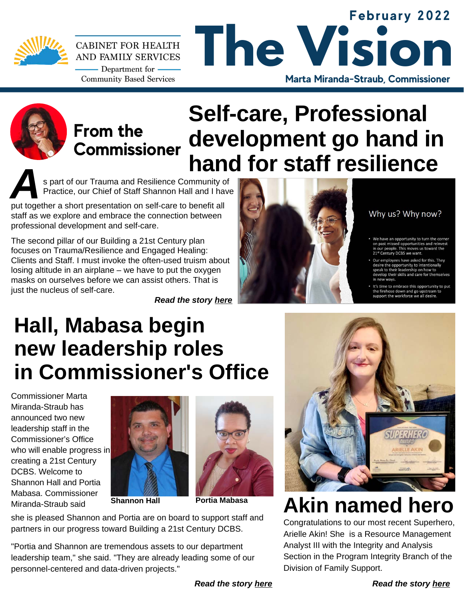

#### **February 2022 The Vision CABINET FOR HEALTH** AND FAMILY SERVICES - Department for  $-$ **Community Based Services Marta Miranda-Straub, Commissioner**



## **From the Commissioner**

# **Self-care, Professional development go hand in hand for staff resilience**<br>**S part of our Trauma and Resilience Community of <b>Assumed Section**

Practice, our Chief of Staff Shannon Hall and I have

put together a short presentation on self-care to benefit all staff as we explore and embrace the connection between professional development and self-care.

The second pillar of our Building a 21st Century plan focuses on Trauma/Resilience and Engaged Healing: Clients and Staff. I must invoke the often-used truism about losing altitude in an airplane – we have to put the oxygen masks on ourselves before we can assist others. That is just the nucleus of self-care.

*Read the story [here](https://drive.google.com/file/d/1NOujCH1ppaZ3_3lKtoSKt9yZu0vFNagQ/view?usp=sharing)*



Why us? Why now?

- We have an opportunity to turn the corner on past missed opportunities and reinv<mark>e</mark><br>n our people. This moves us toward the **Itury DCBS we w**
- lovees have asked for this. They e opportunity to intentionall
- t's time to embrace this opportunity to put the firehose down and go upstream<br>support the workforce we all desire.

# **Hall, Mabasa begin new leadership roles in Commissioner's Office**

Commissioner Marta Miranda-Straub has announced two new leadership staff in the Commissioner's Office who will enable progress in creating a 21st Century DCBS. Welcome to Shannon Hall and Portia Mabasa. Commissioner **Miranda-Straub said France Shannon Hall Portia Mabasa** 







she is pleased Shannon and Portia are on board to support staff and partners in our progress toward Building a 21st Century DCBS.

"Portia and Shannon are tremendous assets to our department leadership team," she said. "They are already leading some of our personnel-centered and data-driven projects."



# **Akin named hero**

Congratulations to our most recent Superhero, Arielle Akin! She is a Resource Management Analyst III with the Integrity and Analysis Section in the Program Integrity Branch of the Division of Family Support.

*Read the story [here](https://drive.google.com/file/d/1m66CGWkJHL85ZG2DnmiCQLjbKqphjU-w/view?usp=sharing)*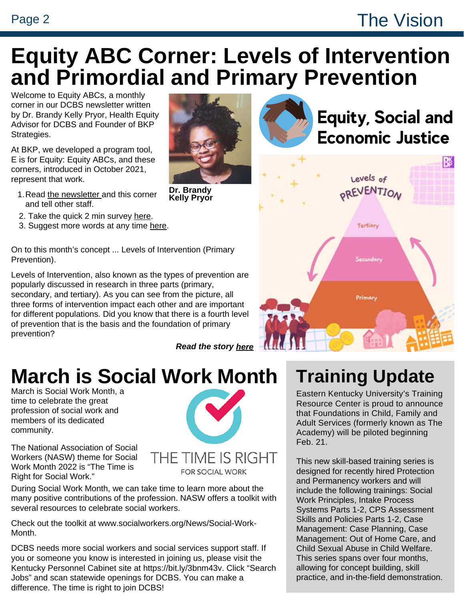#### Page 2 The Vision

## **Equity ABC Corner: Levels of Intervention and Primordial and Primary Prevention**

Welcome to Equity ABCs, a monthly corner in our DCBS newsletter written by Dr. Brandy Kelly Pryor, Health Equity [Advisor for DCBS and Founder of BKP](http://www.bkpstrategies.com/) Strategies.

At BKP, we developed a program tool, E is for Equity: Equity ABCs, and these corners, introduced in October 2021, represent that work.

- 1. Read <u>[the newsletter](https://chfs.ky.gov/agencies/dcbs/oc/Documents/dcbsnewsletterjan.pdf) a</u>nd this corner and tell other staff.
- 2. Take the quick 2 min surve[y](https://docs.google.com/forms/d/1aX8TBw0goH4cYc_KMqRBwk1YMPZ-9DE0KhIU4eBBqHI/prefill) [here](https://docs.google.com/forms/d/1aX8TBw0goH4cYc_KMqRBwk1YMPZ-9DE0KhIU4eBBqHI/prefill).
- 3. Suggest more words at any time [here.](https://docs.google.com/forms/d/1V5uQSPNzctUlNqghs0DeRf_K8P_KI8yRuhtvuZFvU-Q/prefill)

On to this month's concept ... Levels of Intervention (Primary Prevention).

Levels of Intervention, also known as the types of prevention are popularly discussed in research in three parts (primary, secondary, and tertiary). As you can see from the picture, all three forms of intervention impact each other and are important for different populations. Did you know that there is a fourth level of prevention that is the basis and the foundation of primary prevention?

*[Read the story here](https://drive.google.com/file/d/17MnqNSVqpjiugdLdjhf6Nx_R64l7oFUs/view?usp=sharing)*

**Dr. Brandy Kelly Pryor**





## **March is Social Work Month**

March is Social Work Month, a time to celebrate the great profession of social work and members of its dedicated community.

The National Association of Social Workers (NASW) theme for Social Work Month 2022 is "The Time is Right for Social Work."



THE TIME IS RIGHT **FOR SOCIAL WORK** 

During Social Work Month, we can take time to learn more about the many positive contributions of the profession. NASW offers a toolkit with several resources to celebrate social workers.

[Check out the toolkit at www.socialworkers.org/News/Social-Work-](http://www.socialworkers.org/News/Social-Work-Month)Month.

DCBS needs more social workers and social services support staff. If you or someone you know is interested in joining us, please visit the Kentucky Personnel Cabinet site at [https://bit.ly/3bnm43v.](https://bit.ly/3bnm43v) Click "Search Jobs" and scan statewide openings for DCBS. You can make a difference. The time is right to join DCBS!

## **Training Update**

Eastern Kentucky University's Training Resource Center is proud to announce that Foundations in Child, Family and Adult Services (formerly known as The Academy) will be piloted beginning Feb. 21.

This new skill-based training series is designed for recently hired Protection and Permanency workers and will include the following trainings: Social Work Principles, Intake Process Systems Parts 1-2, CPS Assessment Skills and Policies Parts 1-2, Case Management: Case Planning, Case Management: Out of Home Care, and Child Sexual Abuse in Child Welfare. This series spans over four months, allowing for concept building, skill practice, and in-the-field demonstration.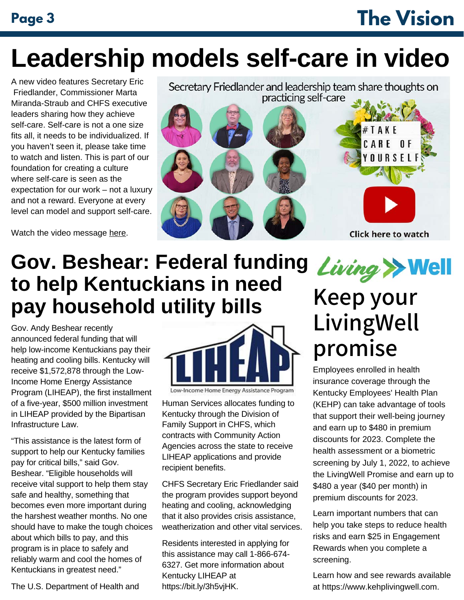# **Page 3 The Vision**

# **Leadership models self-care in video**

A new [video](https://youtu.be/aE0cn-svTaw) features Secretary Eric Friedlander, Commissioner Marta Miranda-Straub and CHFS executive leaders sharing how they achieve self-care. Self-care is not a one size fits all, it needs to be individualized. If you haven't seen it, please take time to watch and listen. This is part of our foundation for creating a culture where self-care is seen as the expectation for our work – not a luxury and not a reward. Everyone at every level can model and support self-care.

Watch the video message [here](https://youtu.be/aE0cn-svTaw).

Secretary Friedlander and leadership team share thoughts on practicing self-care



## **Gov. Beshear: Federal funding to help Kentuckians in need pay household utility bills**

Gov. Andy Beshear recently announced federal funding that will help low-income Kentuckians pay their heating and cooling bills. Kentucky will receive \$1,572,878 through the Low-Income Home Energy Assistance Program (LIHEAP), the first installment of a five-year, \$500 million investment in LIHEAP provided by the Bipartisan Infrastructure Law.

"This assistance is the latest form of support to help our Kentucky families pay for critical bills," said Gov. Beshear. "Eligible households will receive vital support to help them stay safe and healthy, something that becomes even more important during the harshest weather months. No one should have to make the tough choices about which bills to pay, and this program is in place to safely and reliably warm and cool the homes of Kentuckians in greatest need."



Low-Income Home Energy Assistance Program

Human Services allocates funding to Kentucky through the Division of Family Support in CHFS, which contracts with Community Action Agencies across the state to receive LIHEAP applications and provide recipient benefits.

CHFS Secretary Eric Friedlander said the program provides support beyond heating and cooling, acknowledging that it also provides crisis assistance, weatherization and other vital services.

Residents interested in applying for this assistance may call 1-866-674- 6327. Get more information about [Kentucky LIHEAP](https://chfs.ky.gov/agencies/dcbs/dfs/pdb/Pages/liheap.aspx) at [https://bit.ly/3h5vjHK.](https://bit.ly/3h5vjHK)

# $Living \rightarrow$  Well Keep your LivingWell promise

Employees enrolled in health insurance coverage through the Kentucky Employees' Health Plan (KEHP) can take advantage of tools that support their well-being journey and earn up to \$480 in premium discounts for 2023. Complete the health assessment or a biometric screening by July 1, 2022, to achieve the LivingWell Promise and earn up to \$480 a year (\$40 per month) in premium discounts for 2023.

Learn important numbers that can help you take steps to reduce health risks and earn \$25 in Engagement Rewards when you complete a screening.

Learn how and see rewards available at [https://www.kehplivingwell.com.](https://www.kehplivingwell.com/)

The U.S. Department of Health and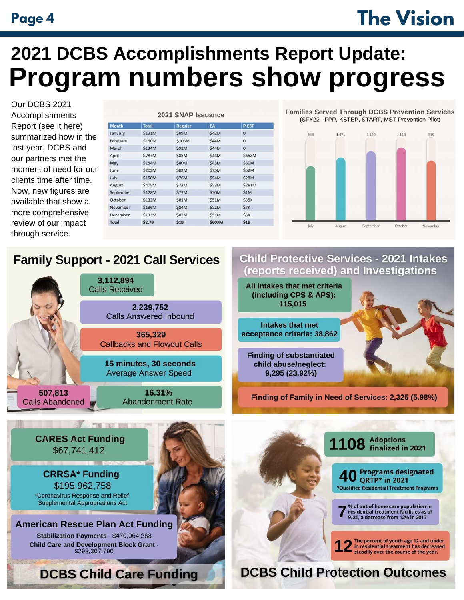# **Page 4 The Vision**

# **2021 DCBS Accomplishments Report Update: Program numbers show progress**

Our DCBS 2021 [Accomplishments](https://chfs.ky.gov/agencies/dcbs/oc/Documents/dcbs2021accomplishments.pdf) Report (see it [here\)](https://chfs.ky.gov/agencies/dcbs/oc/Documents/dcbs2021accomplishments.pdf) summarized how in the last year, DCBS and our partners met the moment of need for our clients time after time. Now, new figures are available that show a more comprehensive review of our impact through service.

| <b>Month</b> | <b>Total</b> | <b>Regular</b> | EA           | P-EBT        |
|--------------|--------------|----------------|--------------|--------------|
| January      | \$131M       | <b>\$89M</b>   | \$42M        | $\mathbf 0$  |
| February     | \$150M       | \$106M         | \$44M        | $\mathbf{0}$ |
| March        | \$134M       | <b>\$91M</b>   | <b>S44M</b>  | $\bf{0}$     |
| April        | \$787M       | <b>\$85M</b>   | \$44M        | \$658M       |
| May          | \$154M       | <b>\$80M</b>   | \$43M        | \$30M        |
| June         | \$209M       | <b>\$82M</b>   | <b>\$75M</b> | <b>\$52M</b> |
| July         | \$158M       | <b>\$76M</b>   | \$54M        | <b>\$28M</b> |
| August       | \$405M       | <b>\$72M</b>   | \$53M        | \$281M       |
| September    | \$128M       | <b>\$77M</b>   | \$50M        | \$1M         |
| October      | \$132M       | <b>\$81M</b>   | <b>\$51M</b> | \$35K        |
| November     | \$136M       | <b>\$84M</b>   | <b>\$52M</b> | \$7K         |
| December     | \$133M       | <b>\$82M</b>   | \$51M        | \$3K         |
| <b>Total</b> | \$2.7B       | \$1B           | \$603M       | \$1B         |

**Families Served Through DCBS Prevention Services** (SFY22 - FPP, KSTEP, START, MST Prevention Pilot)



#### **Family Support - 2021 Call Services**

|                                   | 3,112,894<br><b>Calls Received</b>                    | A   |
|-----------------------------------|-------------------------------------------------------|-----|
|                                   | 2,239,752<br><b>Calls Answered Inbound</b>            |     |
|                                   | 365,329<br><b>Callbacks and Flowout Calls</b>         | aco |
|                                   | 15 minutes, 30 seconds<br><b>Average Answer Speed</b> |     |
| 507,813<br><b>Calls Abandoned</b> | 16.31%<br><b>Abandonment Rate</b>                     |     |
|                                   |                                                       |     |

#### **Child Protective Services - 2021 Intakes** eports received) and Investigations

Il intakes that met criteria (including CPS & APS): 115.015

**Intakes that met** eptance criteria: 38,862

inding of substantiated child abuse/neglect: 9,295 (23.92%)

**Finding of Family in Need of Services: 2,325 (5.98%)**